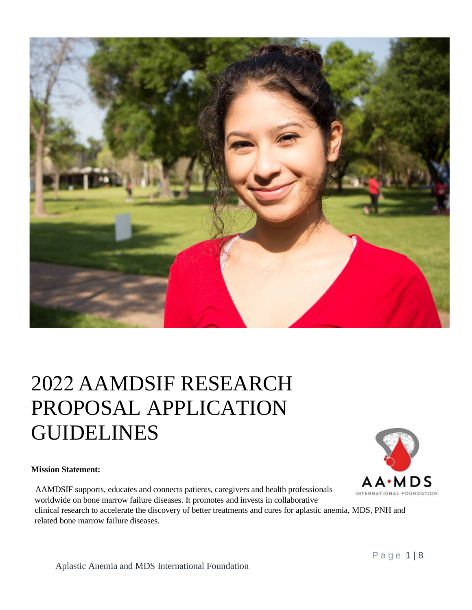

# 2022 AAMDSIF RESEARCH PROPOSAL APPLICATION GUIDELINES

#### **Mission Statement:**

AAMDSIF supports, educates and connects patients, caregivers and health professionals worldwide on bone marrow failure diseases. It promotes and invests in collaborative clinical research to accelerate the discovery of better treatments and cures for aplastic anemia, MDS, PNH and related bone marrow failure diseases.

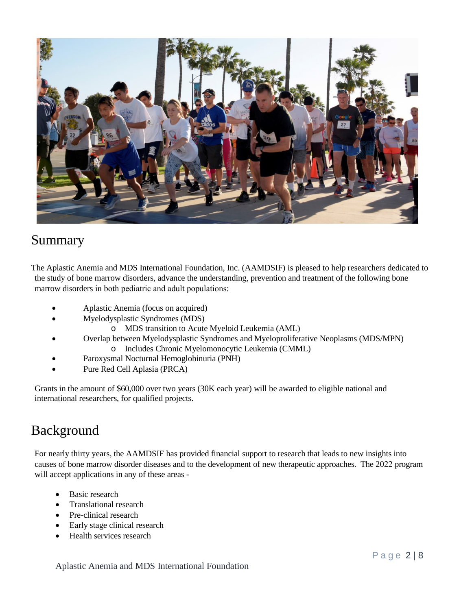

#### Summary

The Aplastic Anemia and MDS International Foundation, Inc. (AAMDSIF) is pleased to help researchers dedicated to the study of bone marrow disorders, advance the understanding, prevention and treatment of the following bone marrow disorders in both pediatric and adult populations:

- Aplastic Anemia (focus on acquired)
	- Myelodysplastic Syndromes (MDS)
		- o MDS transition to Acute Myeloid Leukemia (AML)
- Overlap between Myelodysplastic Syndromes and Myeloproliferative Neoplasms (MDS/MPN)
	- o Includes Chronic Myelomonocytic Leukemia (CMML)
- Paroxysmal Nocturnal Hemoglobinuria (PNH)
- Pure Red Cell Aplasia (PRCA)

Grants in the amount of \$60,000 over two years (30K each year) will be awarded to eligible national and international researchers, for qualified projects.

#### Background

For nearly thirty years, the AAMDSIF has provided financial support to research that leads to new insights into causes of bone marrow disorder diseases and to the development of new therapeutic approaches. The 2022 program will accept applications in any of these areas -

- Basic research
- Translational research
- Pre-clinical research
- Early stage clinical research
- Health services research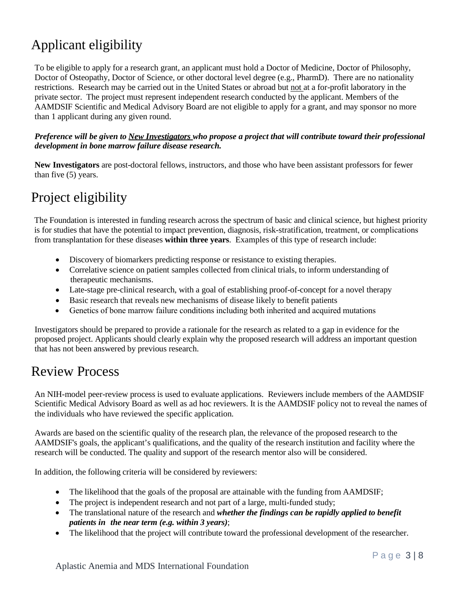# Applicant eligibility

To be eligible to apply for a research grant, an applicant must hold a Doctor of Medicine, Doctor of Philosophy, Doctor of Osteopathy, Doctor of Science, or other doctoral level degree (e.g., PharmD). There are no nationality restrictions. Research may be carried out in the United States or abroad but not at a for-profit laboratory in the private sector. The project must represent independent research conducted by the applicant. Members of the AAMDSIF Scientific and Medical Advisory Board are not eligible to apply for a grant, and may sponsor no more than 1 applicant during any given round.

#### *Preference will be given to New Investigators who propose a project that will contribute toward their professional development in bone marrow failure disease research.*

**New Investigators** are post-doctoral fellows, instructors, and those who have been assistant professors for fewer than five (5) years.

### Project eligibility

The Foundation is interested in funding research across the spectrum of basic and clinical science, but highest priority is for studies that have the potential to impact prevention, diagnosis, risk-stratification, treatment, or complications from transplantation for these diseases **within three years**. Examples of this type of research include:

- Discovery of biomarkers predicting response or resistance to existing therapies.
- Correlative science on patient samples collected from clinical trials, to inform understanding of therapeutic mechanisms.
- Late-stage pre-clinical research, with a goal of establishing proof-of-concept for a novel therapy
- Basic research that reveals new mechanisms of disease likely to benefit patients
- Genetics of bone marrow failure conditions including both inherited and acquired mutations

Investigators should be prepared to provide a rationale for the research as related to a gap in evidence for the proposed project. Applicants should clearly explain why the proposed research will address an important question that has not been answered by previous research.

#### Review Process

An NIH-model peer-review process is used to evaluate applications. Reviewers include members of the AAMDSIF Scientific Medical Advisory Board as well as ad hoc reviewers. It is the AAMDSIF policy not to reveal the names of the individuals who have reviewed the specific application.

Awards are based on the scientific quality of the research plan, the relevance of the proposed research to the AAMDSIF's goals, the applicant's qualifications, and the quality of the research institution and facility where the research will be conducted. The quality and support of the research mentor also will be considered.

In addition, the following criteria will be considered by reviewers:

- The likelihood that the goals of the proposal are attainable with the funding from AAMDSIF;
- The project is independent research and not part of a large, multi-funded study;
- The translational nature of the research and *whether the findings can be rapidly applied to benefit patients in the near term (e.g. within 3 years)*;
- The likelihood that the project will contribute toward the professional development of the researcher.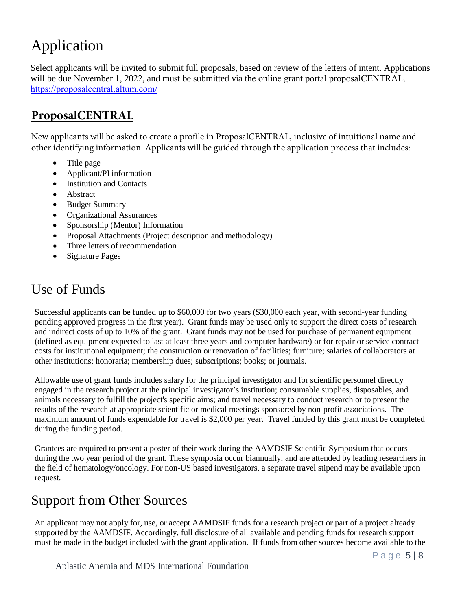# Application

Select applicants will be invited to submit full proposals, based on review of the letters of intent. Applications will be due  $2$  F W R E H U, and must but but a the online grant portal proposal CENTRAL. https:// [proposalcentral.altum.com/](https://proposalcentral.altum.com/)

#### **ProposalCENTRAL**

New applicants will be asked to create a profile in ProposalCENTRAL, inclusive of intuitional name and other identifying information. Applicants will be guided through the application process that includes:

- Title page
- Applicant/PI information
- Institution and Contacts
- Abstract
- Budget Summary
- Organizational Assurances
- Sponsorship (Mentor) Information
- Proposal Attachments (Project description and methodology)
- Three letters of recommendation
- Signature Pages

# Use of Funds

Successful applicants can be funded up to \$60,000 for two years (\$30,000 each year, with second-year funding pending approved progress in the first year). Grant funds may be used only to support the direct costs of research and indirect costs of up to 10% of the grant. Grant funds may not be used for purchase of permanent equipment (defined as equipment expected to last at least three years and computer hardware) or for repair or service contract costs for institutional equipment; the construction or renovation of facilities; furniture; salaries of collaborators at other institutions; honoraria; membership dues; subscriptions; books; or journals.

Allowable use of grant funds includes salary for the principal investigator and for scientific personnel directly engaged in the research project at the principal investigator's institution; consumable supplies, disposables, and animals necessary to fulfill the project's specific aims; and travel necessary to conduct research or to present the results of the research at appropriate scientific or medical meetings sponsored by non-profit associations. The maximum amount of funds expendable for travel is \$2,000 per year. Travel funded by this grant must be completed during the funding period.

Grantees are required to present a poster of their work during the AAMDSIF Scientific Symposium that occurs during the two year period of the grant. These symposia occur biannually, and are attended by leading researchers in the field of hematology/oncology. For non-US based investigators, a separate travel stipend may be available upon request.

### Support from Other Sources

An applicant may not apply for, use, or accept AAMDSIF funds for a research project or part of a project already supported by the AAMDSIF. Accordingly, full disclosure of all available and pending funds for research support must be made in the budget included with the grant application. If funds from other sources become available to the

Aplastic Anemia and MDS International Foundation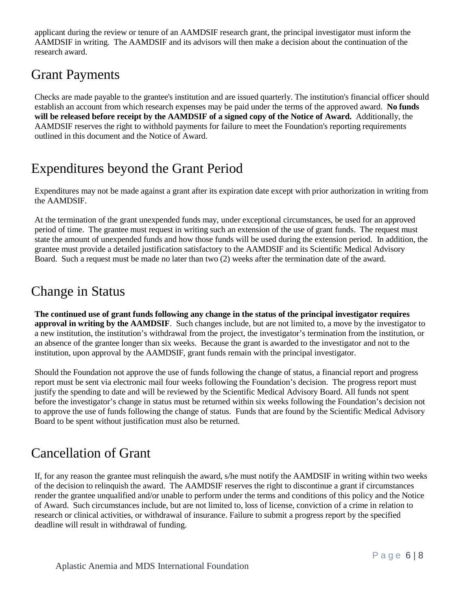applicant during the review or tenure of an AAMDSIF research grant, the principal investigator must inform the AAMDSIF in writing. The AAMDSIF and its advisors will then make a decision about the continuation of the research award.

### Grant Payments

Checks are made payable to the grantee's institution and are issued quarterly. The institution's financial officer should establish an account from which research expenses may be paid under the terms of the approved award. **No funds will be released before receipt by the AAMDSIF of a signed copy of the Notice of Award.** Additionally, the AAMDSIF reserves the right to withhold payments for failure to meet the Foundation's reporting requirements outlined in this document and the Notice of Award.

#### Expenditures beyond the Grant Period

Expenditures may not be made against a grant after its expiration date except with prior authorization in writing from the AAMDSIF.

At the termination of the grant unexpended funds may, under exceptional circumstances, be used for an approved period of time. The grantee must request in writing such an extension of the use of grant funds. The request must state the amount of unexpended funds and how those funds will be used during the extension period. In addition, the grantee must provide a detailed justification satisfactory to the AAMDSIF and its Scientific Medical Advisory Board. Such a request must be made no later than two (2) weeks after the termination date of the award.

#### Change in Status

**The continued use of grant funds following any change in the status of the principal investigator requires approval in writing by the AAMDSIF**. Such changes include, but are not limited to, a move by the investigator to a new institution, the institution's withdrawal from the project, the investigator's termination from the institution, or an absence of the grantee longer than six weeks. Because the grant is awarded to the investigator and not to the institution, upon approval by the AAMDSIF, grant funds remain with the principal investigator.

Should the Foundation not approve the use of funds following the change of status, a financial report and progress report must be sent via electronic mail four weeks following the Foundation's decision. The progress report must justify the spending to date and will be reviewed by the Scientific Medical Advisory Board. All funds not spent before the investigator's change in status must be returned within six weeks following the Foundation's decision not to approve the use of funds following the change of status. Funds that are found by the Scientific Medical Advisory Board to be spent without justification must also be returned.

### Cancellation of Grant

If, for any reason the grantee must relinquish the award, s/he must notify the AAMDSIF in writing within two weeks of the decision to relinquish the award. The AAMDSIF reserves the right to discontinue a grant if circumstances render the grantee unqualified and/or unable to perform under the terms and conditions of this policy and the Notice of Award. Such circumstances include, but are not limited to, loss of license, conviction of a crime in relation to research or clinical activities, or withdrawal of insurance. Failure to submit a progress report by the specified deadline will result in withdrawal of funding.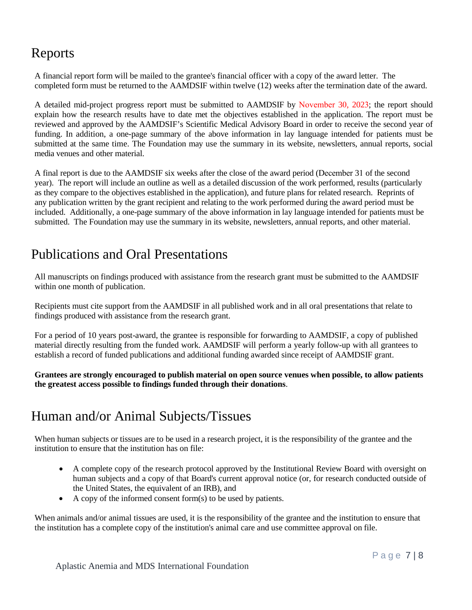#### Reports

A financial report form will be mailed to the grantee's financial officer with a copy of the award letter. The completed form must be returned to the AAMDSIF within twelve (12) weeks after the termination date of the award.

A detailed mid-project progress report must be submitted to AAMDSIF by November 30, 2023; the report should explain how the research results have to date met the objectives established in the application. The report must be reviewed and approved by the AAMDSIF's Scientific Medical Advisory Board in order to receive the second year of funding. In addition, a one-page summary of the above information in lay language intended for patients must be submitted at the same time. The Foundation may use the summary in its website, newsletters, annual reports, social media venues and other material.

A final report is due to the AAMDSIF six weeks after the close of the award period (December 31 of the second year). The report will include an outline as well as a detailed discussion of the work performed, results (particularly as they compare to the objectives established in the application), and future plans for related research. Reprints of any publication written by the grant recipient and relating to the work performed during the award period must be included. Additionally, a one-page summary of the above information in lay language intended for patients must be submitted. The Foundation may use the summary in its website, newsletters, annual reports, and other material.

### Publications and Oral Presentations

All manuscripts on findings produced with assistance from the research grant must be submitted to the AAMDSIF within one month of publication.

Recipients must cite support from the AAMDSIF in all published work and in all oral presentations that relate to findings produced with assistance from the research grant.

For a period of 10 years post-award, the grantee is responsible for forwarding to AAMDSIF, a copy of published material directly resulting from the funded work. AAMDSIF will perform a yearly follow-up with all grantees to establish a record of funded publications and additional funding awarded since receipt of AAMDSIF grant.

**Grantees are strongly encouraged to publish material on open source venues when possible, to allow patients the greatest access possible to findings funded through their donations**.

#### Human and/or Animal Subjects/Tissues

When human subjects or tissues are to be used in a research project, it is the responsibility of the grantee and the institution to ensure that the institution has on file:

- A complete copy of the research protocol approved by the Institutional Review Board with oversight on human subjects and a copy of that Board's current approval notice (or, for research conducted outside of the United States, the equivalent of an IRB), and
- A copy of the informed consent form(s) to be used by patients.

When animals and/or animal tissues are used, it is the responsibility of the grantee and the institution to ensure that the institution has a complete copy of the institution's animal care and use committee approval on file.